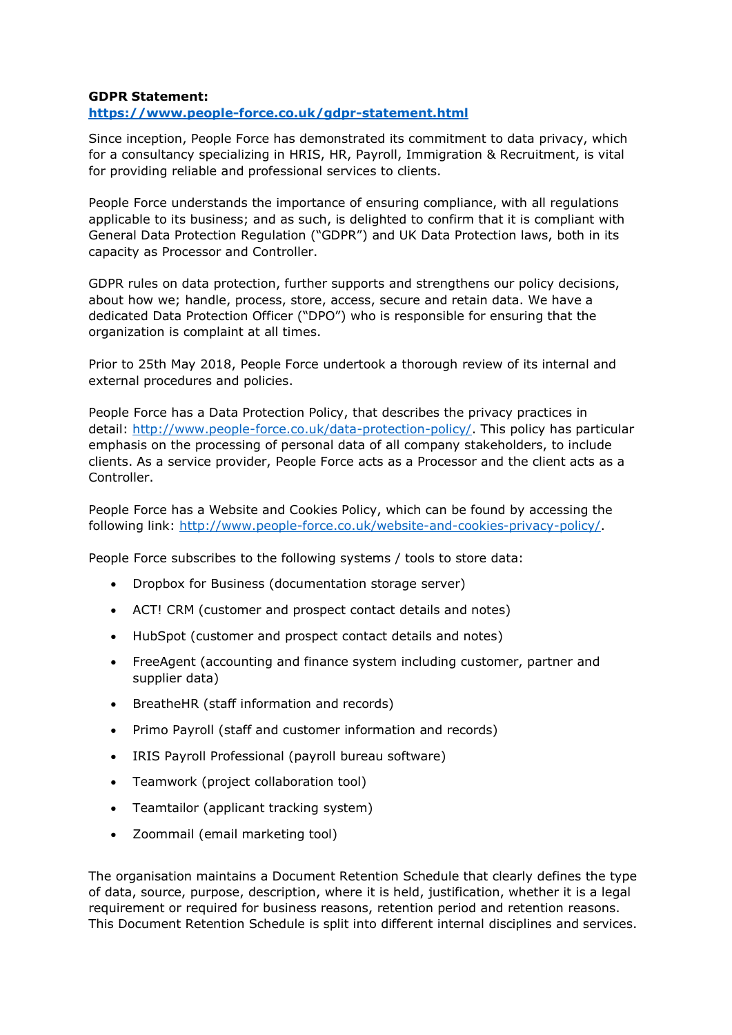## **GDPR Statement:**

## **<https://www.people-force.co.uk/gdpr-statement.html>**

Since inception, People Force has demonstrated its commitment to data privacy, which for a consultancy specializing in HRIS, HR, Payroll, Immigration & Recruitment, is vital for providing reliable and professional services to clients.

People Force understands the importance of ensuring compliance, with all regulations applicable to its business; and as such, is delighted to confirm that it is compliant with General Data Protection Regulation ("GDPR") and UK Data Protection laws, both in its capacity as Processor and Controller.

GDPR rules on data protection, further supports and strengthens our policy decisions, about how we; handle, process, store, access, secure and retain data. We have a dedicated Data Protection Officer ("DPO") who is responsible for ensuring that the organization is complaint at all times.

Prior to 25th May 2018, People Force undertook a thorough review of its internal and external procedures and policies.

People Force has a Data Protection Policy, that describes the privacy practices in detail: [http://www.people-force.co.uk/data-protection-policy/.](https://www.people-force.co.uk/data-protection-policy.html) This policy has particular emphasis on the processing of personal data of all company stakeholders, to include clients. As a service provider, People Force acts as a Processor and the client acts as a Controller.

People Force has a Website and Cookies Policy, which can be found by accessing the following link: [http://www.people-force.co.uk/website-and-cookies-privacy-policy/.](https://www.people-force.co.uk/website-and-cookies-privacy-policy.html)

People Force subscribes to the following systems / tools to store data:

- Dropbox for Business (documentation storage server)
- ACT! CRM (customer and prospect contact details and notes)
- HubSpot (customer and prospect contact details and notes)
- FreeAgent (accounting and finance system including customer, partner and supplier data)
- BreatheHR (staff information and records)
- Primo Payroll (staff and customer information and records)
- IRIS Payroll Professional (payroll bureau software)
- Teamwork (project collaboration tool)
- Teamtailor (applicant tracking system)
- Zoommail (email marketing tool)

The organisation maintains a Document Retention Schedule that clearly defines the type of data, source, purpose, description, where it is held, justification, whether it is a legal requirement or required for business reasons, retention period and retention reasons. This Document Retention Schedule is split into different internal disciplines and services.